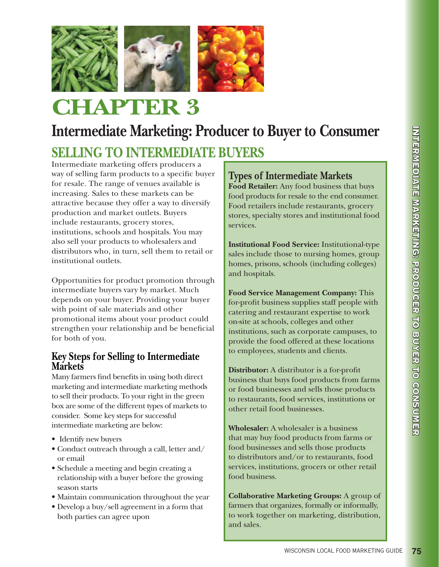

# **CHAPTER 3**

# **Intermediate Marketing: Producer to Buyer to Consumer**

# **SELLING TO INTERMEDIATE BUYERS**

Intermediate marketing offers producers a way of selling farm products to a specific buyer for resale. The range of venues available is increasing. Sales to these markets can be attractive because they offer a way to diversify production and market outlets. Buyers include restaurants, grocery stores, institutions, schools and hospitals. You may also sell your products to wholesalers and distributors who, in turn, sell them to retail or institutional outlets.

Opportunities for product promotion through intermediate buyers vary by market. Much depends on your buyer. Providing your buyer with point of sale materials and other promotional items about your product could strengthen your relationship and be beneficial for both of you.

### **Key Steps for Selling to Intermediate Markets**

Many farmers find benefits in using both direct marketing and intermediate marketing methods to sell their products. To your right in the green box are some of the different types of markets to consider. Some key steps for successful intermediate marketing are below:

- Identify new buyers
- Conduct outreach through a call, letter and/ or email
- Schedule a meeting and begin creating a relationship with a buyer before the growing season starts
- Maintain communication throughout the year
- Develop a buy/sell agreement in a form that both parties can agree upon

# **Types of Intermediate Markets**

**Food Retailer:** Any food business that buys food products for resale to the end consumer. Food retailers include restaurants, grocery stores, specialty stores and institutional food services.

**Institutional Food Service:** Institutional-type sales include those to nursing homes, group homes, prisons, schools (including colleges) and hospitals.

**Food Service Management Company:** This for-profit business supplies staff people with catering and restaurant expertise to work on-site at schools, colleges and other institutions, such as corporate campuses, to provide the food offered at these locations to employees, students and clients.

**Distributor:** A distributor is a for-profit business that buys food products from farms or food businesses and sells those products to restaurants, food services, institutions or other retail food businesses.

**Wholesaler:** A wholesaler is a business that may buy food products from farms or food businesses and sells those products to distributors and/or to restaurants, food services, institutions, grocers or other retail food business.

**Collaborative Marketing Groups:** A group of farmers that organizes, formally or informally, to work together on marketing, distribution, and sales.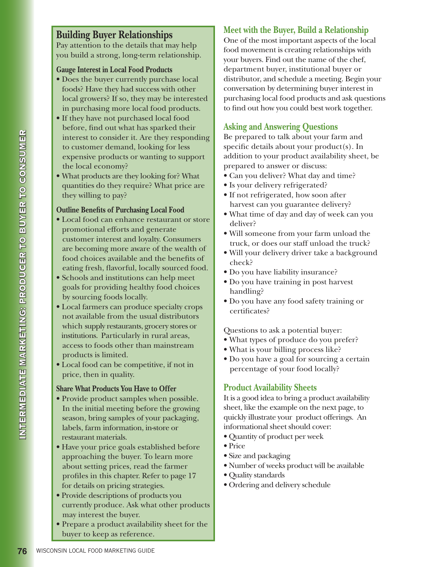# **Building Buyer Relationships**

Pay attention to the details that may help you build a strong, long-term relationship.

#### **Gauge Interest in Local Food Products**

- Does the buyer currently purchase local foods? Have they had success with other local growers? If so, they may be interested in purchasing more local food products.
- If they have not purchased local food before, find out what has sparked their interest to consider it. Are they responding to customer demand, looking for less expensive products or wanting to support the local economy?
- What products are they looking for? What quantities do they require? What price are they willing to pay?

#### **Outline Benefits of Purchasing Local Food**

- Local food can enhance restaurant or store promotional efforts and generate customer interest and loyalty. Consumers are becoming more aware of the wealth of food choices available and the benefits of eating fresh, flavorful, locally sourced food.
- Schools and institutions can help meet goals for providing healthy food choices by sourcing foods locally.
- Local farmers can produce specialty crops not available from the usual distributors which supply restaurants, grocery stores or institutions. Particularly in rural areas, access to foods other than mainstream products is limited.
- Local food can be competitive, if not in price, then in quality.

#### **Share What Products You Have to Offer**

- Provide product samples when possible. In the initial meeting before the growing season, bring samples of your packaging, labels, farm information, in-store or restaurant materials.
- Have your price goals established before approaching the buyer. To learn more about setting prices, read the farmer profiles in this chapter. Refer to page 17 for details on pricing strategies.
- Provide descriptions of products you currently produce. Ask what other products may interest the buyer.
- Prepare a product availability sheet for the buyer to keep as reference.

## **Meet with the Buyer, Build a Relationship**

One of the most important aspects of the local food movement is creating relationships with your buyers. Find out the name of the chef, department buyer, institutional buyer or distributor, and schedule a meeting. Begin your conversation by determining buyer interest in purchasing local food products and ask questions to find out how you could best work together.

### **Asking and Answering Questions**

Be prepared to talk about your farm and specific details about your  $product(s)$ . In addition to your product availability sheet, be prepared to answer or discuss:

- Can you deliver? What day and time?
- Is your delivery refrigerated?
- If not refrigerated, how soon after harvest can you guarantee delivery?
- What time of day and day of week can you deliver?
- Will someone from your farm unload the truck, or does our staff unload the truck?
- Will your delivery driver take a background check?
- Do you have liability insurance?
- Do you have training in post harvest handling?
- Do you have any food safety training or certificates?

Questions to ask a potential buyer:

- What types of produce do you prefer?
- What is your billing process like?
- Do you have a goal for sourcing a certain percentage of your food locally?

#### **Product Availability Sheets**

It is a good idea to bring a product availability sheet, like the example on the next page, to quickly illustrate your product offerings. An informational sheet should cover:

- Quantity of product per week
- Price
- Size and packaging
- Number of weeks product will be available
- Quality standards
- Ordering and delivery schedule

 $\mathbb{R}$